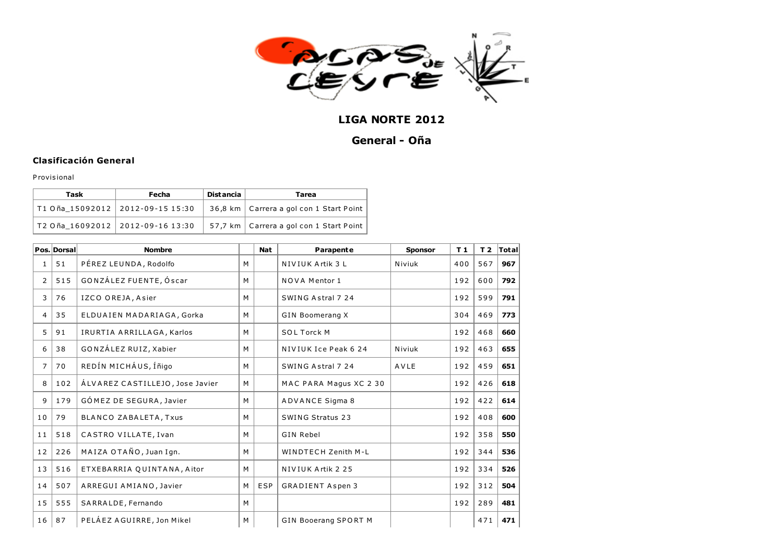

## LIGA NORTE 2012

## General - Oña

## Clasificación General

P rovis ional

| Task                                     | Fecha | <b>Distancia</b> | Tarea                                                        |  |  |  |  |
|------------------------------------------|-------|------------------|--------------------------------------------------------------|--|--|--|--|
| T1 Oña_15092012   2012-09-15 15:30       |       |                  | 36,8 km   Carrera a gol con 1 Start Point                    |  |  |  |  |
| $ $ T2 Oña_16092012 $ $ 2012-09-16 13:30 |       |                  | $\mid$ 57,7 km $\mid$ Carrera a gol con 1 Start Point $\mid$ |  |  |  |  |

|                | Pos. Dorsal | <b>Nombre</b>                   |   | <b>Nat</b> | Parapente                   | <b>Sponsor</b> | T <sub>1</sub> | T <sub>2</sub> | Total |
|----------------|-------------|---------------------------------|---|------------|-----------------------------|----------------|----------------|----------------|-------|
| 1              | 51          | PÉREZ LEUNDA, Rodolfo           | M |            | NIVIUK Artik 3 L            | Niviuk         | 400            | 567            | 967   |
| 2              | 515         | GONZÁLEZ FUENTE, Óscar          | M |            | <b>NOVA Mentor 1</b>        |                | 192            | 600            | 792   |
| 3              | 76          | IZCO OREJA, Asier               | M |            | SWING Astral 7 24           |                | 192            | 599            | 791   |
| 4              | 35          | ELDUAIEN MADARIAGA, Gorka       | M |            | <b>GIN Boomerang X</b>      |                | 304            | 469            | 773   |
| 5              | 91          | IRURTIA ARRILLAGA, Karlos       | M |            | <b>SOL Torck M</b>          |                | 192            | 468            | 660   |
| 6              | 38          | GONZÁLEZ RUIZ, Xabier           | M |            | NIVIUK Ice Peak 6 24        | Niviuk         | 192            | 463            | 655   |
| $\overline{7}$ | 70          | REDÍN MICHÁUS, Íñigo            | M |            | SWING Astral 7 24           | AVLE           | 192            | 459            | 651   |
| 8              | 102         | ÁLVAREZ CASTILLEJO, Jose Javier | M |            | MAC PARA Magus XC 2 30      |                | 192            | 426            | 618   |
| 9              | 179         | GÓMEZ DE SEGURA, Javier         | M |            | <b>ADVANCE Sigma 8</b>      |                | 192            | 422            | 614   |
| 10             | 79          | BLANCO ZABALETA, Txus           | M |            | <b>SWING Stratus 23</b>     |                | 192            | 408            | 600   |
| 11             | 518         | CASTRO VILLATE, Ivan            | M |            | <b>GIN Rebel</b>            |                | 192            | 358            | 550   |
| 12             | 226         | MAIZA OTAÑO, Juan Ign.          | M |            | <b>WINDTECH Zenith M-L</b>  |                | 192            | 344            | 536   |
| 13             | 516         | ETXEBARRIA QUINTANA, Aitor      | M |            | NIVIUK Artik 2 25           |                | 192            | 334            | 526   |
| 14             | 507         | ARREGUI AMIANO, Javier          | M | <b>ESP</b> | <b>GRADIENT Aspen 3</b>     |                | 192            | 312            | 504   |
| 15             | 555         | SARRALDE, Fernando              | M |            |                             |                | 192            | 289            | 481   |
| 16             | 87          | PELÁEZ AGUIRRE, Jon Mikel       | M |            | <b>GIN Booerang SPORT M</b> |                |                | 471            | 471   |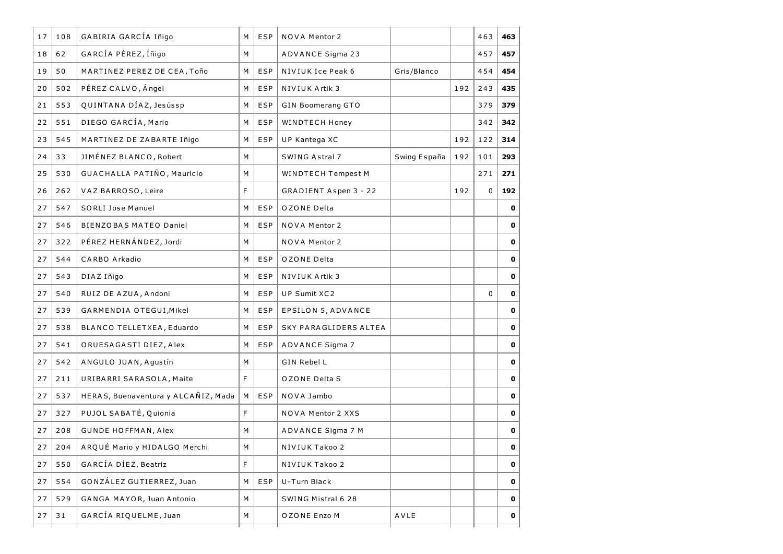| 17 | 108 | GABIRIA GARCÍA Iñigo                | М  | ESP        | <b>NOVA Mentor 2</b>    |              |     | 463 | 463         |
|----|-----|-------------------------------------|----|------------|-------------------------|--------------|-----|-----|-------------|
| 18 | 62  | GARCÍA PÉREZ, Íñigo                 | М  |            | <b>ADVANCE Sigma 23</b> |              |     | 457 | 457         |
| 19 | 50  | MARTINEZ PEREZ DE CEA, Toño         | М  | ESP        | NIVIUK Ice Peak 6       | Gris/Blanco  |     | 454 | 454         |
| 20 | 502 | PÉREZ CALVO, Ángel                  | м  | ESP        | NIVIUK Artik 3          |              | 192 | 243 | 435         |
| 21 | 553 | QUINTANA DÍAZ, Jesússp              | М  | ESP        | GIN Boomerang GTO       |              |     | 379 | 379         |
| 22 | 551 | DIEGO GARCÍA, Mario                 | М  | ESP        | WINDTECH Honey          |              |     | 342 | 342         |
| 23 | 545 | MARTINEZ DE ZABARTE Iñigo           | М  | <b>ESP</b> | UP Kantega XC           |              | 192 | 122 | 314         |
| 24 | 33  | JIMÉNEZ BLANCO, Robert              | М  |            | SWING Astral 7          | Swing España | 192 | 101 | 293         |
| 25 | 530 | GUACHALLA PATIÑO, Mauricio          | М  |            | WINDTECH Tempest M      |              |     | 271 | 271         |
| 26 | 262 | VAZ BARROSO, Leire                  | F  |            | GRADIENT Aspen 3 - 22   |              | 192 | 0   | 192         |
| 27 | 547 | <b>SORLI Jose Manuel</b>            | М  | <b>ESP</b> | OZONE Delta             |              |     |     | 0           |
| 27 | 546 | BIENZOBAS MATEO Daniel              | М  | <b>ESP</b> | NOVA Mentor 2           |              |     |     | 0           |
| 27 | 322 | PÉREZ HERNÁNDEZ, Jordi              | М  |            | <b>NOVA Mentor 2</b>    |              |     |     | 0           |
| 27 | 544 | CARBO Arkadio                       | М  | <b>ESP</b> | OZONE Delta             |              |     |     | 0           |
| 27 | 543 | DIAZ Iñigo                          | М  | <b>ESP</b> | NIVIUK Artik 3          |              |     |     | 0           |
| 27 | 540 | RUIZ DE AZUA, Andoni                | М  | <b>ESP</b> | UP Sumit XC2            |              |     | 0   | 0           |
| 27 | 539 | GARMENDIA OTEGUI, Mikel             | м  | <b>ESP</b> | EPSILON 5, ADVANCE      |              |     |     | 0           |
| 27 | 538 | BLANCO TELLETXEA, Eduardo           | М  | <b>ESP</b> | SKY PARAGLIDERS ALTEA   |              |     |     | 0           |
| 27 | 541 | ORUESAGASTI DIEZ, Alex              | м  | <b>ESP</b> | ADVANCE Sigma 7         |              |     |     | 0           |
| 27 | 542 | ANGULO JUAN, Agustín                | М  |            | GIN Rebel L             |              |     |     | 0           |
| 27 | 211 | URIBARRI SARASOLA, Maite            | F. |            | OZONE Delta S           |              |     |     | 0           |
| 27 | 537 | HERAS, Buenaventura y ALCAÑIZ, Mada | М  | <b>ESP</b> | NOVA Jambo              |              |     |     | 0           |
| 27 | 327 | PUJOL SABATÉ, Quionia               | F  |            | NOVA Mentor 2 XXS       |              |     |     | 0           |
| 27 | 208 | <b>GUNDE HOFFMAN, Alex</b>          | М  |            | ADVANCE Sigma 7 M       |              |     |     | 0           |
| 27 | 204 | ARQUÉ Mario y HIDALGO Merchi        | M  |            | NIVIUK Takoo 2          |              |     |     | 0           |
| 27 | 550 | GARCÍA DÍEZ, Beatriz                | F. |            | NIVIUK Takoo 2          |              |     |     | 0           |
| 27 | 554 | GONZÁLEZ GUTIERREZ, Juan            | М  | <b>ESP</b> | U-Turn Black            |              |     |     | $\mathbf 0$ |
| 27 | 529 | GANGA MAYOR, Juan Antonio           | М  |            | SWING Mistral 6 28      |              |     |     | 0           |
| 27 | 31  | GARCÍA RIQUELME, Juan               | M  |            | OZONE Enzo M            | AVLE         |     |     | 0           |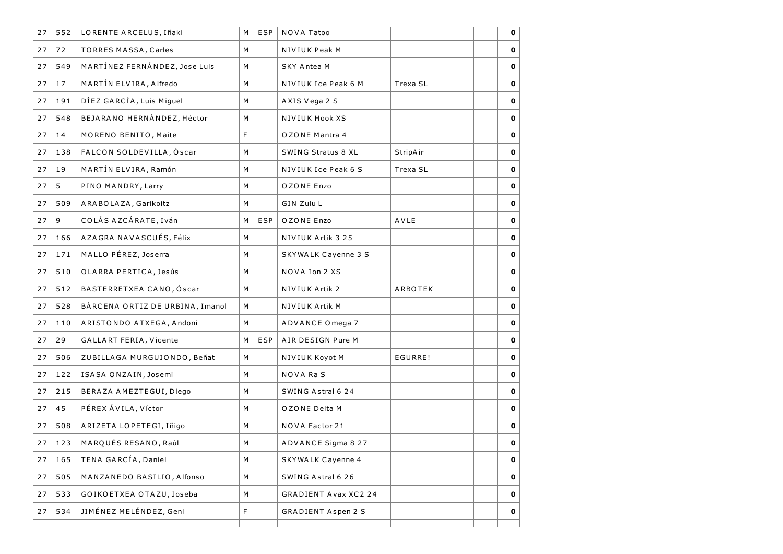| 27 | 552 | LORENTE ARCELUS, Iñaki          | M | <b>ESP</b> | NOVA Tatoo                  |                 |  | 0            |
|----|-----|---------------------------------|---|------------|-----------------------------|-----------------|--|--------------|
| 27 | 72  | <b>TORRES MASSA, Carles</b>     | М |            | NIVIUK Peak M               |                 |  | 0            |
| 27 | 549 | MARTÍNEZ FERNÁNDEZ, Jose Luis   | M |            | <b>SKY Antea M</b>          |                 |  | 0            |
| 27 | 17  | MARTÍN ELVIRA, Alfredo          | M |            | NIVIUK Ice Peak 6 M         | Trexa SL        |  | 0            |
| 27 | 191 | DÍEZ GARCÍA, Luis Miguel        | М |            | AXIS Vega 2 S               |                 |  | $\mathbf 0$  |
| 27 | 548 | BEJARANO HERNÁNDEZ, Héctor      | М |            | <b>NIVIUK Hook XS</b>       |                 |  | 0            |
| 27 | 14  | MORENO BENITO, Maite            | F |            | OZONE Mantra 4              |                 |  | O            |
| 27 | 138 | FALCON SOLDEVILLA, Óscar        | М |            | SWING Stratus 8 XL          | <b>StripAir</b> |  | 0            |
| 27 | 19  | MARTÍN ELVIRA, Ramón            | М |            | NIVIUK Ice Peak 6 S         | Trexa SL        |  | 0            |
| 27 | 5   | PINO MANDRY, Larry              | M |            | OZONE Enzo                  |                 |  | 0            |
| 27 | 509 | ARABOLAZA, Garikoitz            | М |            | GIN Zulu L                  |                 |  | 0            |
| 27 | 9   | COLÁS AZCÁRATE, Iván            | М | <b>ESP</b> | OZONE Enzo                  | AVLE            |  | O            |
| 27 | 166 | AZAGRA NAVASCUÉS, Félix         | М |            | NIVIUK Artik 3 25           |                 |  | O            |
| 27 | 171 | MALLO PÉREZ, Joserra            | М |            | SKYWALK Cayenne 3 S         |                 |  | 0            |
| 27 | 510 | OLARRA PERTICA, Jesús           | M |            | NOVA Ion 2 XS               |                 |  | 0            |
| 27 | 512 | BASTERRETXEA CANO, Óscar        | М |            | NIVIUK Artik 2              | ARBOTEK         |  | O            |
| 27 | 528 | BÁRCENA ORTIZ DE URBINA, Imanol | М |            | NIVIUK Artik M              |                 |  | 0            |
| 27 | 110 | ARISTONDO ATXEGA, Andoni        | М |            | ADVANCE Omega 7             |                 |  | 0            |
| 27 | 29  | GALLART FERIA, Vicente          | M | <b>ESP</b> | AIR DESIGN Pure M           |                 |  | O            |
| 27 | 506 | ZUBILLA GA MURGUIONDO, Beñat    | М |            | NIVIUK Koyot M              | EGURRE!         |  | 0            |
| 27 | 122 | ISASA ONZAIN, Josemi            | M |            | <b>NOVA RaS</b>             |                 |  | 0            |
| 27 | 215 | BERAZA AMEZTEGUI, Diego         | М |            | SWING Astral 6 24           |                 |  | 0            |
| 27 | 45  | PÉREX ÁVILA, Víctor             | М |            | OZONE Delta M               |                 |  | 0            |
| 27 | 508 | ARIZETA LOPETEGI, Iñigo         | М |            | <b>NOVA Factor 21</b>       |                 |  | $\mathbf 0$  |
| 27 | 123 | MARQUÉS RESANO, Raúl            | М |            | ADVANCE Sigma 8 27          |                 |  | $\mathbf{O}$ |
| 27 | 165 | TENA GARCÍA, Daniel             | М |            | <b>SKYWALK Cayenne 4</b>    |                 |  | 0            |
| 27 | 505 | MANZANEDO BASILIO, Alfonso      | М |            | SWING Astral 6 26           |                 |  | 0            |
| 27 | 533 | GOIKOETXEA OTAZU, Joseba        | М |            | <b>GRADIENT Avax XC2 24</b> |                 |  | 0            |
| 27 | 534 | JIMÉNEZ MELÉNDEZ, Geni          | F |            | <b>GRADIENT Aspen 2 S</b>   |                 |  | 0            |
|    |     |                                 |   |            |                             |                 |  |              |